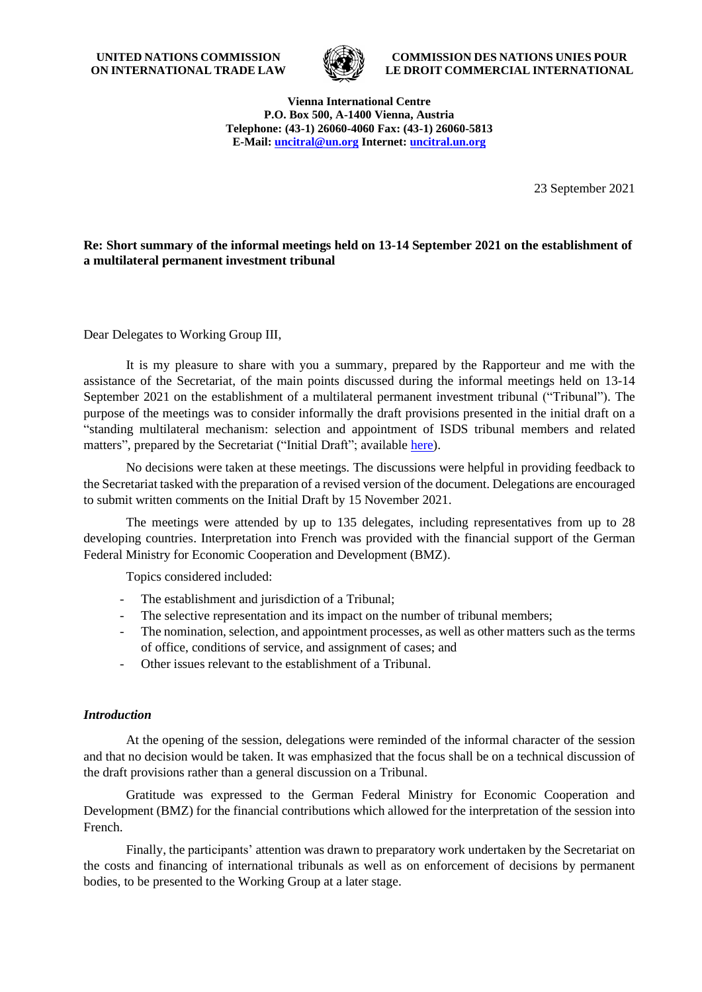**UNITED NATIONS COMMISSION ON INTERNATIONAL TRADE LAW**



**COMMISSION DES NATIONS UNIES POUR LE DROIT COMMERCIAL INTERNATIONAL**

**Vienna International Centre P.O. Box 500, A-1400 Vienna, Austria Telephone: (43-1) 26060-4060 Fax: (43-1) 26060-5813 E-Mail: [uncitral@un.org](mailto:uncitral@un.org) Internet: [uncitral.un.org](http://www.uncitral.org/)**

23 September 2021

### **Re: Short summary of the informal meetings held on 13-14 September 2021 on the establishment of a multilateral permanent investment tribunal**

Dear Delegates to Working Group III,

It is my pleasure to share with you a summary, prepared by the Rapporteur and me with the assistance of the Secretariat, of the main points discussed during the informal meetings held on 13-14 September 2021 on the establishment of a multilateral permanent investment tribunal ("Tribunal"). The purpose of the meetings was to consider informally the draft provisions presented in the initial draft on a "standing multilateral mechanism: selection and appointment of ISDS tribunal members and related matters", prepared by the Secretariat ("Initial Draft"; available [here\)](https://uncitral.un.org/en/standing).

No decisions were taken at these meetings. The discussions were helpful in providing feedback to the Secretariat tasked with the preparation of a revised version of the document. Delegations are encouraged to submit written comments on the Initial Draft by 15 November 2021.

The meetings were attended by up to 135 delegates, including representatives from up to 28 developing countries. Interpretation into French was provided with the financial support of the German Federal Ministry for Economic Cooperation and Development (BMZ).

Topics considered included:

- The establishment and jurisdiction of a Tribunal;
- The selective representation and its impact on the number of tribunal members;
- The nomination, selection, and appointment processes, as well as other matters such as the terms of office, conditions of service, and assignment of cases; and
- Other issues relevant to the establishment of a Tribunal.

### *Introduction*

At the opening of the session, delegations were reminded of the informal character of the session and that no decision would be taken. It was emphasized that the focus shall be on a technical discussion of the draft provisions rather than a general discussion on a Tribunal.

Gratitude was expressed to the German Federal Ministry for Economic Cooperation and Development (BMZ) for the financial contributions which allowed for the interpretation of the session into French.

Finally, the participants' attention was drawn to preparatory work undertaken by the Secretariat on the costs and financing of international tribunals as well as on enforcement of decisions by permanent bodies, to be presented to the Working Group at a later stage.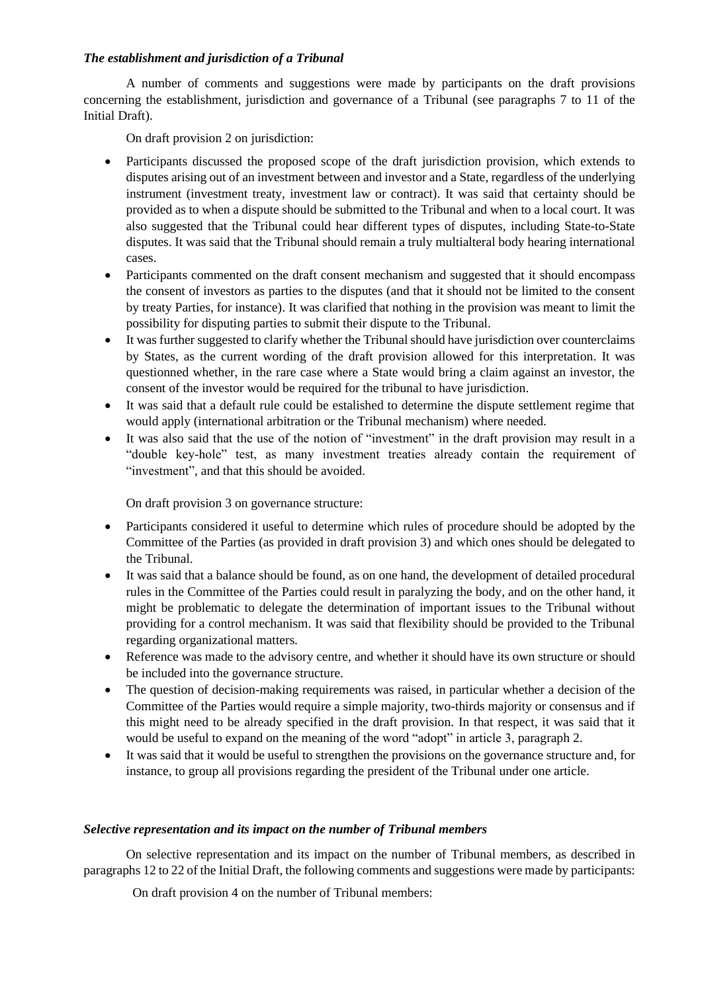### *The establishment and jurisdiction of a Tribunal*

A number of comments and suggestions were made by participants on the draft provisions concerning the establishment, jurisdiction and governance of a Tribunal (see paragraphs 7 to 11 of the Initial Draft).

On draft provision 2 on jurisdiction:

- Participants discussed the proposed scope of the draft jurisdiction provision, which extends to disputes arising out of an investment between and investor and a State, regardless of the underlying instrument (investment treaty, investment law or contract). It was said that certainty should be provided as to when a dispute should be submitted to the Tribunal and when to a local court. It was also suggested that the Tribunal could hear different types of disputes, including State-to-State disputes. It was said that the Tribunal should remain a truly multialteral body hearing international cases.
- Participants commented on the draft consent mechanism and suggested that it should encompass the consent of investors as parties to the disputes (and that it should not be limited to the consent by treaty Parties, for instance). It was clarified that nothing in the provision was meant to limit the possibility for disputing parties to submit their dispute to the Tribunal.
- It was further suggested to clarify whether the Tribunal should have jurisdiction over counterclaims by States, as the current wording of the draft provision allowed for this interpretation. It was questionned whether, in the rare case where a State would bring a claim against an investor, the consent of the investor would be required for the tribunal to have jurisdiction.
- It was said that a default rule could be estalished to determine the dispute settlement regime that would apply (international arbitration or the Tribunal mechanism) where needed.
- It was also said that the use of the notion of "investment" in the draft provision may result in a "double key-hole" test, as many investment treaties already contain the requirement of "investment", and that this should be avoided.

On draft provision 3 on governance structure:

- Participants considered it useful to determine which rules of procedure should be adopted by the Committee of the Parties (as provided in draft provision 3) and which ones should be delegated to the Tribunal.
- It was said that a balance should be found, as on one hand, the development of detailed procedural rules in the Committee of the Parties could result in paralyzing the body, and on the other hand, it might be problematic to delegate the determination of important issues to the Tribunal without providing for a control mechanism. It was said that flexibility should be provided to the Tribunal regarding organizational matters.
- Reference was made to the advisory centre, and whether it should have its own structure or should be included into the governance structure.
- The question of decision-making requirements was raised, in particular whether a decision of the Committee of the Parties would require a simple majority, two-thirds majority or consensus and if this might need to be already specified in the draft provision. In that respect, it was said that it would be useful to expand on the meaning of the word "adopt" in article 3, paragraph 2.
- It was said that it would be useful to strengthen the provisions on the governance structure and, for instance, to group all provisions regarding the president of the Tribunal under one article.

#### *Selective representation and its impact on the number of Tribunal members*

On selective representation and its impact on the number of Tribunal members, as described in paragraphs 12 to 22 of the Initial Draft, the following comments and suggestions were made by participants:

On draft provision 4 on the number of Tribunal members: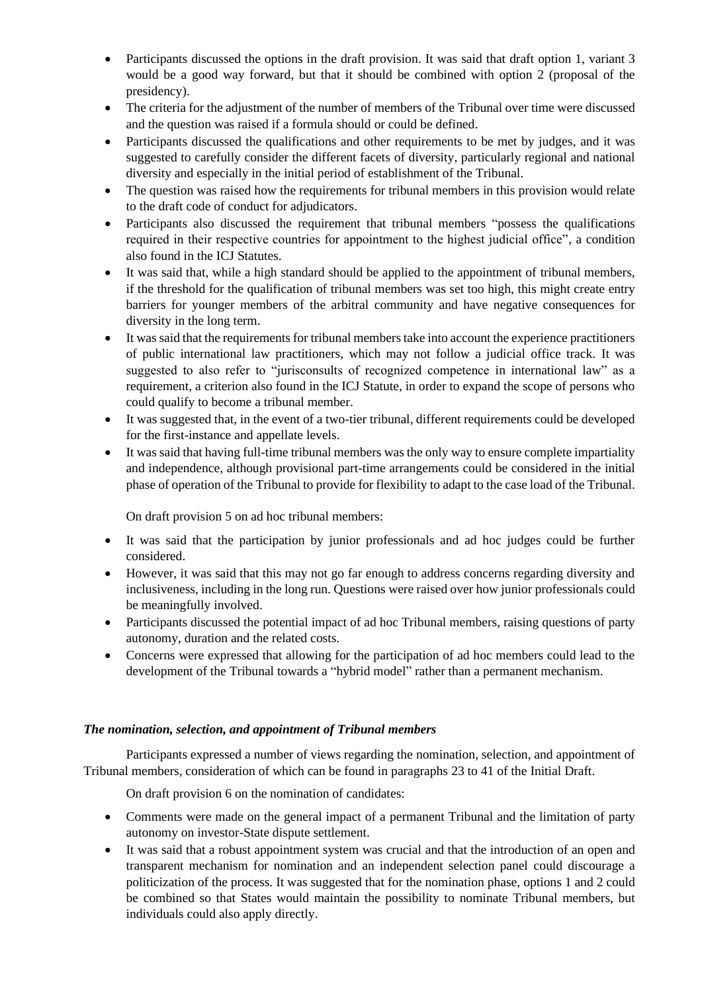- Participants discussed the options in the draft provision. It was said that draft option 1, variant 3 would be a good way forward, but that it should be combined with option 2 (proposal of the presidency).
- The criteria for the adjustment of the number of members of the Tribunal over time were discussed and the question was raised if a formula should or could be defined.
- Participants discussed the qualifications and other requirements to be met by judges, and it was suggested to carefully consider the different facets of diversity, particularly regional and national diversity and especially in the initial period of establishment of the Tribunal.
- The question was raised how the requirements for tribunal members in this provision would relate to the draft code of conduct for adjudicators.
- Participants also discussed the requirement that tribunal members "possess the qualifications required in their respective countries for appointment to the highest judicial office", a condition also found in the ICJ Statutes.
- It was said that, while a high standard should be applied to the appointment of tribunal members, if the threshold for the qualification of tribunal members was set too high, this might create entry barriers for younger members of the arbitral community and have negative consequences for diversity in the long term.
- It was said that the requirements for tribunal members take into account the experience practitioners of public international law practitioners, which may not follow a judicial office track. It was suggested to also refer to "jurisconsults of recognized competence in international law" as a requirement, a criterion also found in the ICJ Statute, in order to expand the scope of persons who could qualify to become a tribunal member.
- It was suggested that, in the event of a two-tier tribunal, different requirements could be developed for the first-instance and appellate levels.
- It was said that having full-time tribunal members was the only way to ensure complete impartiality and independence, although provisional part-time arrangements could be considered in the initial phase of operation of the Tribunal to provide for flexibility to adapt to the case load of the Tribunal.

On draft provision 5 on ad hoc tribunal members:

- It was said that the participation by junior professionals and ad hoc judges could be further considered.
- However, it was said that this may not go far enough to address concerns regarding diversity and inclusiveness, including in the long run. Questions were raised over how junior professionals could be meaningfully involved.
- Participants discussed the potential impact of ad hoc Tribunal members, raising questions of party autonomy, duration and the related costs.
- Concerns were expressed that allowing for the participation of ad hoc members could lead to the development of the Tribunal towards a "hybrid model" rather than a permanent mechanism.

# *The nomination, selection, and appointment of Tribunal members*

Participants expressed a number of views regarding the nomination, selection, and appointment of Tribunal members, consideration of which can be found in paragraphs 23 to 41 of the Initial Draft.

On draft provision 6 on the nomination of candidates:

- Comments were made on the general impact of a permanent Tribunal and the limitation of party autonomy on investor-State dispute settlement.
- It was said that a robust appointment system was crucial and that the introduction of an open and transparent mechanism for nomination and an independent selection panel could discourage a politicization of the process. It was suggested that for the nomination phase, options 1 and 2 could be combined so that States would maintain the possibility to nominate Tribunal members, but individuals could also apply directly.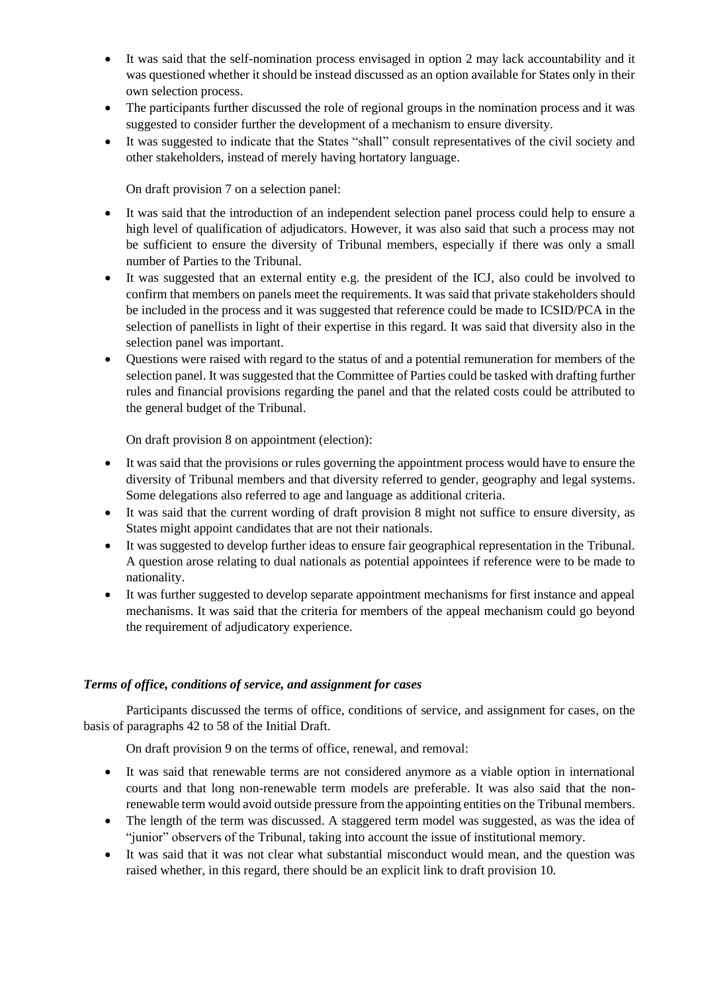- It was said that the self-nomination process envisaged in option 2 may lack accountability and it was questioned whether it should be instead discussed as an option available for States only in their own selection process.
- The participants further discussed the role of regional groups in the nomination process and it was suggested to consider further the development of a mechanism to ensure diversity.
- It was suggested to indicate that the States "shall" consult representatives of the civil society and other stakeholders, instead of merely having hortatory language.

On draft provision 7 on a selection panel:

- It was said that the introduction of an independent selection panel process could help to ensure a high level of qualification of adjudicators. However, it was also said that such a process may not be sufficient to ensure the diversity of Tribunal members, especially if there was only a small number of Parties to the Tribunal.
- It was suggested that an external entity e.g. the president of the ICJ, also could be involved to confirm that members on panels meet the requirements. It was said that private stakeholders should be included in the process and it was suggested that reference could be made to ICSID/PCA in the selection of panellists in light of their expertise in this regard. It was said that diversity also in the selection panel was important.
- Questions were raised with regard to the status of and a potential remuneration for members of the selection panel. It was suggested that the Committee of Parties could be tasked with drafting further rules and financial provisions regarding the panel and that the related costs could be attributed to the general budget of the Tribunal.

On draft provision 8 on appointment (election):

- It was said that the provisions or rules governing the appointment process would have to ensure the diversity of Tribunal members and that diversity referred to gender, geography and legal systems. Some delegations also referred to age and language as additional criteria.
- It was said that the current wording of draft provision 8 might not suffice to ensure diversity, as States might appoint candidates that are not their nationals.
- It was suggested to develop further ideas to ensure fair geographical representation in the Tribunal. A question arose relating to dual nationals as potential appointees if reference were to be made to nationality.
- It was further suggested to develop separate appointment mechanisms for first instance and appeal mechanisms. It was said that the criteria for members of the appeal mechanism could go beyond the requirement of adjudicatory experience.

# *Terms of office, conditions of service, and assignment for cases*

Participants discussed the terms of office, conditions of service, and assignment for cases, on the basis of paragraphs 42 to 58 of the Initial Draft.

On draft provision 9 on the terms of office, renewal, and removal:

- It was said that renewable terms are not considered anymore as a viable option in international courts and that long non-renewable term models are preferable. It was also said that the nonrenewable term would avoid outside pressure from the appointing entities on the Tribunal members.
- The length of the term was discussed. A staggered term model was suggested, as was the idea of "junior" observers of the Tribunal, taking into account the issue of institutional memory.
- It was said that it was not clear what substantial misconduct would mean, and the question was raised whether, in this regard, there should be an explicit link to draft provision 10.